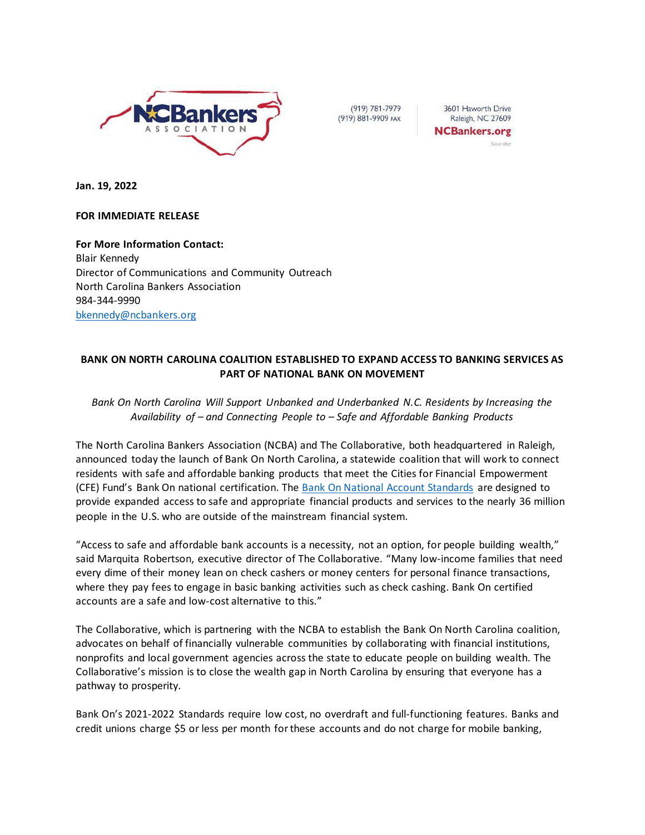

(919) 781-7979 (919) 881-9909 FAX

3601 Haworth Drive Raleigh, NC 27609 **NCBankers.org** 

**Jan. 19, 2022**

## **FOR IMMEDIATE RELEASE**

**For More Information Contact:** Blair Kennedy Director of Communications and Community Outreach North Carolina Bankers Association 984-344-9990 [bkennedy@ncbankers.org](mailto:bkennedy@ncbankers.org)

# **BANK ON NORTH CAROLINA COALITION ESTABLISHED TO EXPAND ACCESS TO BANKING SERVICES AS PART OF NATIONAL BANK ON MOVEMENT**

## *Bank On North Carolina Will Support Unbanked and Underbanked N.C. Residents by Increasing the Availability of – and Connecting People to – Safe and Affordable Banking Products*

The North Carolina Bankers Association (NCBA) and The Collaborative, both headquartered in Raleigh, announced today the launch of Bank On North Carolina, a statewide coalition that will work to connect residents with safe and affordable banking products that meet the Cities for Financial Empowerment (CFE) Fund's Bank On national certification. The [Bank On National Account Standards](https://2wvkof1mfraz2etgea1p8kiy-wpengine.netdna-ssl.com/wp-content/uploads/2020/10/Bank-On-National-Account-Standards-2021-2022.pdf) are designed to provide expanded access to safe and appropriate financial products and services to the nearly 36 million people in the U.S. who are outside of the mainstream financial system.

"Access to safe and affordable bank accounts is a necessity, not an option, for people building wealth," said Marquita Robertson, executive director of The Collaborative. "Many low-income families that need every dime of their money lean on check cashers or money centers for personal finance transactions, where they pay fees to engage in basic banking activities such as check cashing. Bank On certified accounts are a safe and low-cost alternative to this."

The Collaborative, which is partnering with the NCBA to establish the Bank On North Carolina coalition, advocates on behalf of financially vulnerable communities by collaborating with financial institutions, nonprofits and local government agencies across the state to educate people on building wealth. The Collaborative's mission is to close the wealth gap in North Carolina by ensuring that everyone has a pathway to prosperity.

Bank On's 2021-2022 Standards require low cost, no overdraft and full-functioning features. Banks and credit unions charge \$5 or less per month for these accounts and do not charge for mobile banking,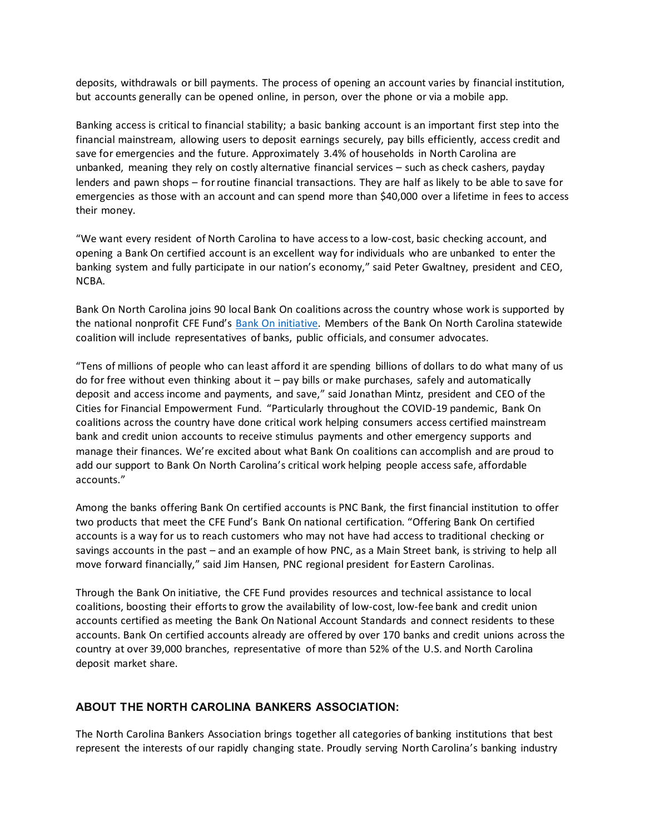deposits, withdrawals or bill payments. The process of opening an account varies by financial institution, but accounts generally can be opened online, in person, over the phone or via a mobile app.

Banking access is critical to financial stability; a basic banking account is an important first step into the financial mainstream, allowing users to deposit earnings securely, pay bills efficiently, access credit and save for emergencies and the future. Approximately 3.4% of households in North Carolina are unbanked, meaning they rely on costly alternative financial services – such as check cashers, payday lenders and pawn shops – for routine financial transactions. They are half as likely to be able to save for emergencies as those with an account and can spend more than \$40,000 over a lifetime in fees to access their money.

"We want every resident of North Carolina to have access to a low-cost, basic checking account, and opening a Bank On certified account is an excellent way for individuals who are unbanked to enter the banking system and fully participate in our nation's economy," said Peter Gwaltney, president and CEO, NCBA.

Bank On North Carolina joins 90 local Bank On coalitions across the country whose work is supported by the national nonprofit CFE Fund's [Bank On initiative.](http://www.cfefund.org/bankon) Members of the Bank On North Carolina statewide coalition will include representatives of banks, public officials, and consumer advocates.

"Tens of millions of people who can least afford it are spending billions of dollars to do what many of us do for free without even thinking about it – pay bills or make purchases, safely and automatically deposit and access income and payments, and save," said Jonathan Mintz, president and CEO of the Cities for Financial Empowerment Fund. "Particularly throughout the COVID-19 pandemic, Bank On coalitions across the country have done critical work helping consumers access certified mainstream bank and credit union accounts to receive stimulus payments and other emergency supports and manage their finances. We're excited about what Bank On coalitions can accomplish and are proud to add our support to Bank On North Carolina's critical work helping people access safe, affordable accounts."

Among the banks offering Bank On certified accounts is PNC Bank, the first financial institution to offer two products that meet the CFE Fund's Bank On national certification. "Offering Bank On certified accounts is a way for us to reach customers who may not have had access to traditional checking or savings accounts in the past – and an example of how PNC, as a Main Street bank, is striving to help all move forward financially," said Jim Hansen, PNC regional president for Eastern Carolinas.

Through the Bank On initiative, the CFE Fund provides resources and technical assistance to local coalitions, boosting their efforts to grow the availability of low-cost, low-fee bank and credit union accounts certified as meeting the Bank On National Account Standards and connect residents to these accounts. Bank On certified accounts already are offered by over 170 banks and credit unions across the country at over 39,000 branches, representative of more than 52% of the U.S. and North Carolina deposit market share.

## **ABOUT THE NORTH CAROLINA BANKERS ASSOCIATION:**

The North Carolina Bankers Association brings together all categories of banking institutions that best represent the interests of our rapidly changing state. Proudly serving North Carolina's banking industry